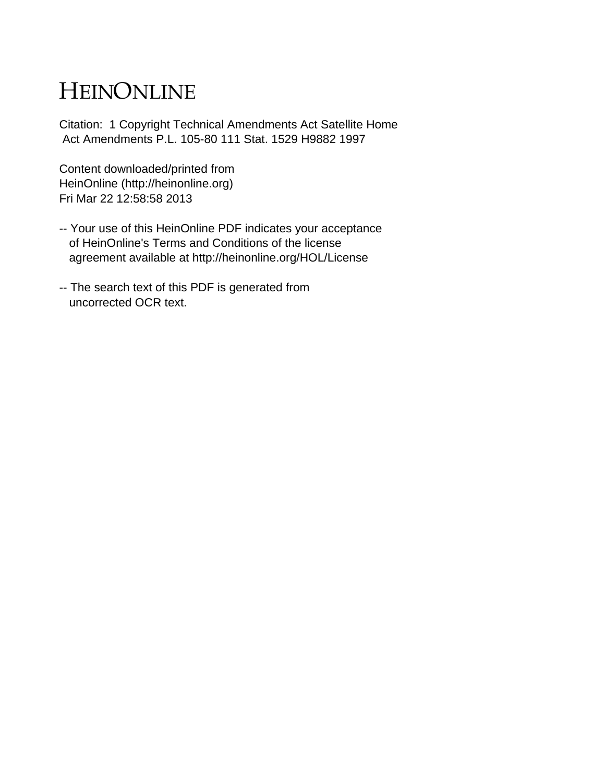## HEINONLINE

Citation: 1 Copyright Technical Amendments Act Satellite Home Act Amendments P.L. 105-80 111 Stat. 1529 H9882 1997

Content downloaded/printed from HeinOnline (http://heinonline.org) Fri Mar 22 12:58:58 2013

- -- Your use of this HeinOnline PDF indicates your acceptance of HeinOnline's Terms and Conditions of the license agreement available at http://heinonline.org/HOL/License
- -- The search text of this PDF is generated from uncorrected OCR text.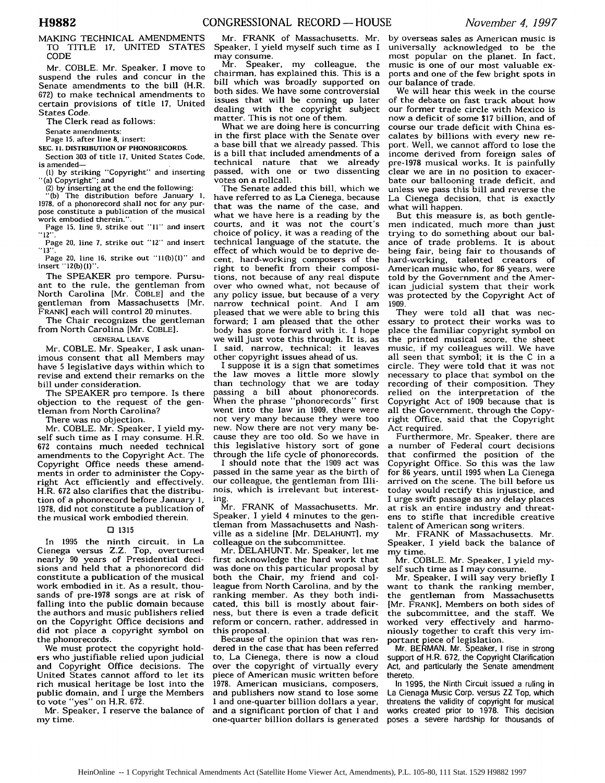MAKING TECHNICAL AMENDMENTS TO TITLE 17, UNITED STATES CODE

Mr. COBLE. Mr. Speaker, I move to suspend the rules and concur in the Senate amendments to the bill (H.R. 672) to make technical amendments to certain provisions of title 17, United States Code.

The Clerk read as follows:

Senate amendments:

Page **15,** after line 8, insert:

**SEC. 11. DISTRIBUTION OF PHONORECORDS.**

Section **303** of title **17,** United States Code, is amended-

**(1)** by striking "Copyright" and inserting "(a) Copyright"; and

(2) by inserting at the end the following: -(b) The distribution before January **1,**

1978, of a phonorecord shall not for any purpose constitute a publication of the musical .<br>work embodied therein."

Page **15,** line **9,** strike out "11" and insert "12''.

Page 20, line **7,** strike out "12" and insert **"13".**

Page 20, line 16, strike out "l1(b)(1)" and insert " 12(b) **(1)".**

The SPEAKER pro tempore. Pursuant to the rule, the gentleman from North Carolina [Mr. COBLE] and the gentleman from Massachusetts [Mr. FRANK] each will control 20 minutes.

The Chair recognizes the gentleman from North Carolina [Mr. COBLE].

**GENERAL LEAVE**

Mr. COBLE. Mr. Speaker, I ask unanimous consent that all Members may have 5 legislative days within which to revise and extend their remarks on the bill under consideration.

The SPEAKER pro tempore. Is there objection to the request of the gentleman from North Carolina?

There was no objection.

Mr. COBLE. Mr. Speaker, I yield myself such time as I may consume. H.R. 672 contains much needed technical amendments to the Copyright Act. The Copyright Office needs these amendments in order to administer the Copyright Act efficiently and effectively. H.R. **672** also clarifies that the distribution of a phonorecord before January **1, 1978,** did not constitute a publication of the musical work embodied therein.

## **01 1315**

In 1995 the ninth circuit, in La Cienega versus Z.Z. Top, overturned nearly 90 years of Presidential decisions and held that a phonorecord did constitute a publication of the musical work embodied in it. As a result, thousands of pre-1978 songs are at risk of falling into the public domain because the authors and music publishers relied on the Copyright Office decisions and did not place a copyright symbol on the phonorecords.

We must protect the copyright holders who justifiable relied upon judicial and Copyright Office decisions. The United States cannot afford to let its rich musical heritage be lost into the public domain, and  $\overline{I}$  urge the Members to vote "yes" on H.R. 672.

Mr. Speaker, I reserve the balance of my time.

Mr. FRANK of Massachusetts. Mr. Speaker, I yield myself such time as I may consume.

Mr. Speaker, my colleague, the chairman, has explained this. This is a bill which was broadly supported on both sides. We have some controversial issues that will be coming up later dealing with the copyright subject matter. This is not one of them.

What we are doing here is concurring in the first place with the Senate over a base bill that we already passed. This is a bill that included amendments of a technical nature that we already passed, with one or two dissenting votes on a rollcall.

The Senate added this bill, which we have referred to as La Cienega, because that was the name of the case, and what we have here is a reading by the courts, and it was not the court's choice of policy, it was a reading of the technical language of the statute, the effect of which would be to deprive decent, hard-working composers of the right to benefit from their compositions, not because of any real dispute over who owned what, not because of any policy issue, but because of a very narrow technical point. And I am pleased that we were able to bring this forward; I am pleased that the other body has gone forward with it. I hope we will just vote this through. It is, as I said, narrow, technical; it leaves other copyright issues ahead of us.

I suppose it is a sign that sometimes the law moves a little more slowly than technology that we are today passing a bill about phonorecords. When the phrase "phonorecords" first went into the law in **1909,** there were not very many because they were too new. Now there are not very many because they are too old. So we have in this legislative history sort of gone through the life cycle of phonorecords.

I should note that the 1909 act was passed in the same year as the birth of our colleague, the gentleman from Illinois, which is irrelevant but interesting.

Mr. FRANK of Massachusetts. Mr. Speaker, I yield 4 minutes to the gentleman from Massachusetts and Nashville as a sideline [Mr. **DELAHUNT], my** colleague on the subcommittee.

Mr. DELAHUNT. Mr. Speaker, let me first acknowledge the hard work that was done on this particular proposal by both the Chair, my friend and colleague from North Carolina, and by the ranking member. As they both indicated, this bill is mostly about fairness, but there is even a trade deficit reform or concern, rather, addressed in this proposal.

Because of the opinion that was rendered in the case that has been referred to, La Cienega, there is now a cloud over the copyright of virtually every piece of American music written before 1978. American musicians, composers, and publishers now stand to lose some **<sup>I</sup>**and one-quarter billion dollars a year, and a significant portion of that 1 and one-quarter billion dollars is generated

by overseas sales as American music is universally acknowledged to be the most popular on the planet. In fact, music is one of our most valuable exports and one of the few bright spots in our balance of trade.

We will hear this week in the course of the debate on fast track about how our former trade circle with Mexico is now a deficit of some \$17 billion, and of course our trade deficit with China escalates by billions with every new report. Well, we cannot afford to lose the income derived from foreign sales of pre-1978 musical works. It is painfully clear we are in no position to exacerbate our ballooning trade deficit, and unless we pass this bill and reverse the La Cienega decision, that is exactly what will happen.

But this measure is, as both gentlemen indicated, much more than just trying to do something about our balance of trade problems. It is about being fair, being fair to thousands of hard-working, talented creators of American music who, for 86 years, were told by the Government and the American judicial system that their work was protected by the Copyright Act of 1909.

They were told all that was necessary to protect their works was to place the familiar copyright symbol on the printed musical score, the sheet music, if my colleagues will. We have all seen that symbol; it is the C in a circle. They were told that it was not necessary to place that symbol on the recording of their composition. They relied on the interpretation of the Copyright Act of 1909 because that is all the Government, through the Copyright Office, said that the Copyright Act required.

Furthermore, Mr. Speaker, there are a number of Federal court decisions that confirmed the position of the Copyright Office. So this was the law for 86 years, until 1995 when La Cienega arrived on the scene. The bill before us today would rectify this injustice, and I urge swift passage as any delay places at risk an entire industry and threatens to stifle that incredible creative talent of American song writers.

Mr. FRANK of Massachusetts. Mr. Speaker, I yield back the balance of my time.

Mr. COBLE. Mr. Speaker. I yield myself such time as I may consume.

Mr. Speaker, I will say very briefly I want to thank the ranking member, the gentleman from Massachusetts [Mr. FRANK], Members on both sides of the subcommittee, and the staff. We worked very effectively and harmoniously together to craft this very important piece of legislation.

Mr. BERMAN. Mr. Speaker, I rise in strong support of H.R. 672, the Copyright Clarification Act, and particularly the Senate amendment thereto.

In 1995, the Ninth Circuit issued a ruling in La Cienaga Music Corp. versus ZZ Top, which threatens the validity of copyright for musical works created prior to 1978. This decision poses a severe hardship for thousands of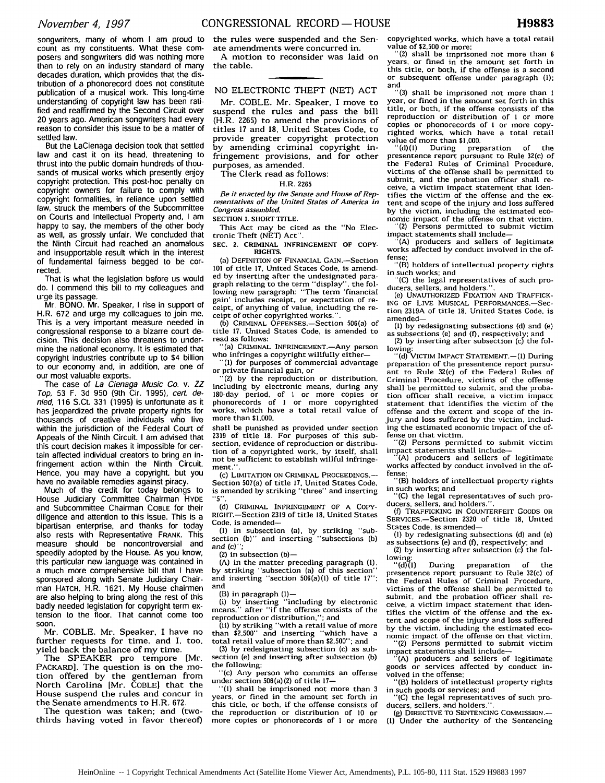songwriters, many of whom I am proud to count as my constituents. What these composers and songwriters did was nothing more than to rely on an industry standard of many decades duration, which provides that the distribution of a phonorecord does not constitute publication of a musical work. This long-time understanding of copyright law has been ratified and reaffirmed by the Second Circuit over 20 years ago. American songwriters had every reason to consider this issue to be a matter of settled law.

But the LaCienaga decision took that settled law and cast it on its head, threatening to thrust into the public domain hundreds of thousands of musical works which presently enjoy copyright protection. This post-hoc penalty on copyright owners for failure to comply with copyright formalities, in reliance upon settled law, struck the members of the Subcommittee on Courts and Intellectual Property and, I am happy to say, the members of the other body as well, as grossly unfair. We concluded that the Ninth Circuit had reached an anomalous and insupportable result which in the interest of fundamental fairness begged to be corrected.

That is what the legislation before us would do. I commend this bill to my colleagues and urge its passage.

Mr. BONO. Mr. Speaker, I rise in support of H.R. 672 and urge my colleagues to join me. This is a very important measure needed in congressional response to a bizarre court decision. This decision also threatens to undermine the national economy. It is estimated that copyright industries contribute up to \$4 billion to our economy and, in addition, are one of our most valuable exports.

The case of La Cienaga Music Co. v. ZZ Top, 53 F. 3d 950 (9th Cir. 1995), cert. denied, 116 S.Ct. 331 (1995) is unfortunate as it has jeopardized the private property rights for thousands of creative individuals who live within the jurisdiction of the Federal Court of Appeals of the Ninth Circuit. I am advised that this court decision makes it impossible for certain affected individual creators to bring an infringement action within the Ninth Circuit. Hence, you may have a copyright, but you have no available remedies against piracy.

Much of the credit for today belongs to House Judiciary Committee Chairman HYDE and Subcommittee Chairman COBLE for their diligence and attention to this issue. This is a bipartisan enterprise, and thanks for today also rests with Representative FRANK. This measure should be noncontroversial and speedily adopted by the House. As you know, this particular new language was contained in a much more comprehensive bill that I have sponsored along with Senate Judiciary Chairman HATCH, H.R. 1621. My House chairmen are also helping to bring along the rest of this badly needed legislation for copyright term extension to the floor. That cannot come too

soon.<br>Mr. COBLE. Mr. Speaker, I have no further requests for time, and I, too, yield back the balance of my time.

The SPEAKER pro tempore [Mr. PACKARD]. The question is on the motion offered by the gentleman from North Carolina [Mr. COBLE] that the House suspend the rules and concur in the Senate amendments to H.R. 672.

The question was taken; and (twothirds having voted in favor thereof) the rules were suspended and the Senate amendments were concurred in. A motion to reconsider was laid on the table.

## NO ELECTRONIC THEFT (NET) ACT

Mr. COBLE. Mr. Speaker, I move to suspend the rules and pass the bill (H.R. 2265) to amend the provisions of titles 17 and **18,** United States Code, to provide greater copyright protection by amending criminal copyright infringement provisions, and for other purposes, as amended.

The Clerk read as follows:

## H.R. **2265**

*Be it enacted by the Senate and House of Rep-resentatives of the United States of America in Congress assembled,*

**SECTION 1. SHORT TITLE.**

**This Act** may be **cited as** the "No Electronic Theft (NET) Act".

SEC. 2. CRIMINAL INFRINGEMENT OF COPY-RIGHTS.

(a) DEFINITION OF FINANCIAL GAIN.-Section **101** of title 17. United States Code, is amended by inserting after the undesignated paragraph relating to the term "display", the following new paragraph: "The term 'financial ceipt, of anything of value, including the receipt of other copyrighted works.'

**(b)** CRIMINAL OFFENSES.-Section 506(a) of title 17, United States Code, is amended to read as follows:

'(a) CRIMINAL INFRINGEMENT.- Any person

who infringes a copyright willfully either-<br>"(1) for purposes of commercial advantage<br>or private financial gain, or

(2) by the reproduction or distribution. including by electronic means, during any 180-day period, of **I** or more copies or phonorecords of 1 or more copyrighted works, which have a total retail value of more than **\$1,000,**

shall be punished as provided under section 2319 of title 18. For purposes of this subsection, evidence of reproduction or distribution of a copyrighted work, by itself, shall not be sufficient to establish willful infringement.

(c) LIMITATION **ON** CRIMINAL PROCEEDINGS.- Section 507(a) of title **17.** United States Code, is amended by striking "three" and inserting

**(d)** CRIMINAL INFRINGEMENT OF A COPY-RIGHT.-Section **2319** of title **18,** United States Code, is amended-

**(1)** in subsection (a), by striking "subsection (b)" and inserting "'subsections (b) *and* (c)";

 $(2)$  in subsection  $(b)$  —

(A) in the matter preceding paragraph (1). by striking "subsection (a) of this section" and inserting "section 506(a)(1) of title **17";** and

(B) in paragraph (1)-

**(i)** by inserting "including by electronic means,' after "if the offense consists of the reproduction or distribution,"; and

(ii) by striking "with a retail value of more than **\$2.500"** and inserting "which have a total retail value of more than \$2,500"; and

**(3)** by redesignating subsection (c) as subsection (e) and inserting after subsection **(b)** the following: "(c) Any person who commits an offense

under section 506(a) (2) of title **17-**

"(1) shall be imprisoned not more than **3** years, or fined in the amount set forth in this title, or both. if the offense consists of the reproduction or distribution of **10** or more copies or phonorecords of 1 or more copyrighted works, which have a total retail value **of \$2,500 or more;**

"(2) shall be imprisoned **not** more than **6** years, **or** fined in the amount set forth in this title, **or both,** if the offense is a second or subsequent offense under paragraph **(I);**

and **"(3)** shall be imprisoned not more than **I** year, or fined in the amount set forth in this title, **or** both, if the offense consists **of** the reproduction **or** distribution **of I or** more copies **or** phonorecords **of I or** more copyrighted works, which have a total retail value **of** more than **\$1,000.**

**"(d)(l)** During preparation of the presentence report pursuant **to** Rule 32(c) **of** the Federal Rules **of** Criminal Procedure, victims **of** the offense shall be permitted **to** submit, **and** the probation officer shall receive, a victim impact statement that identifies the victim of the offense **and** the extent **and** scope **of** the injury **and** loss suffered by the victim, including the estimated economic impact of the offense on that victim.

"(2) Persons permitted to submit victim

(A) producers and sellers of legitimate works affected by conduct involved in the of-

fense: "(B) holders of intellectual property rights in such works; and

**"(C)** the legal representatives **of** such producers, sellers, and holders.

(e) UNAUTHORIZED **FIXATION AND** TRAFFICK-**ING** OF LIVE **MUSICAL** PERFORMANCES.-Section 2319A of title **18,** United States Code, is amended-

**(I)** by redesignating subsections **(d)** and (e) as subsections (e) and **(f).** respectively; and

(2) by inserting after subsection (c) the following:<br>"(d) VICTIM IMPACT STATEMENT.—(1) During

preparation of the presentence report pursuant to Rule **32(c)** of the Federal Rules of Criminal Procedure, victims of the offense shall be permitted to submit, and the probation officer shall receive, a victim impact statement that identifies the victim of the offense and the extent and scope of the injury and loss suffered by the victim, including the estimated economic impact of the offense on that victim.

"(2) Persons permitted to submit victim impact statements shall include-

"(A) producers and sellers of legitimate works affected by conduct involved in the offense;

"(B) holders of intellectual property rights in such works; and

"(C) the legal representatives of such producers, sellers, and holders."

(f) TRAFFICKING IN COUNTERFEIT GOODS OR SERVICES.-Section **2320** of title **18,** United States Code, is amended-

**(1)** by redesignating subsections (d) and (e) as subsections (e) and **(f),** respectively; and

(2) by inserting after subsection (c) the fol-

lowing:<br> $^{\prime\prime}$ (d)(1) During preparation of the presentence report pursuant to Rule 32(c) of the Federal Rules of Criminal Procedure, victims of the offense shall be permitted to submit, and the probation officer shall receive, a victim impact statement that identifies the victim of the offense and the extent and scope of the injury and loss suffered by the victim, including the estimated economic impact of the offense on that victim.

"(2) Persons permitted to submit victim impact statements shall include- "(A) producers and sellers of legitimate

goods or services affected by conduct involved in the offense;

"(B) holders of intellectual property rights in such goods or services; and **"(C)** the legal representatives **of** such pro-

ducers, sellers, and holders."

**(g)** DIRECTIVE TO **SENTENCING COMMISSION.- (1)** Under the authority **of** the Sentencing